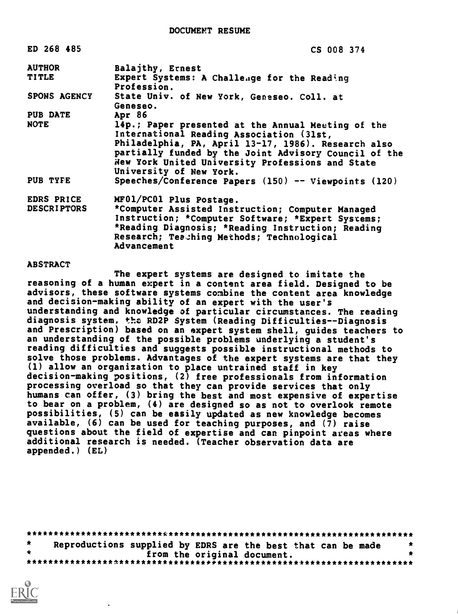| ED 268 485                       | CS 008 374                                                                                                                                                                                                                                                                                    |
|----------------------------------|-----------------------------------------------------------------------------------------------------------------------------------------------------------------------------------------------------------------------------------------------------------------------------------------------|
| <b>AUTHOR</b>                    | Balajthy, Ernest                                                                                                                                                                                                                                                                              |
| <b>TITLE</b>                     | Expert Systems: A Challenge for the Reading<br>Profession.                                                                                                                                                                                                                                    |
| <b>SPONS AGENCY</b>              | State Univ. of New York, Geneseo. Coll. at<br>Geneseo.                                                                                                                                                                                                                                        |
| <b>PUB DATE</b>                  | Apr 86                                                                                                                                                                                                                                                                                        |
| NOTE                             | 14p.; Paper presented at the Annual Meeting of the<br>International Reading Association (31st,<br>Philadelphia, PA, April 13-17, 1986). Research also<br>partially funded by the Joint Advisory Council of the<br>New York United University Professions and State<br>University of New York. |
| PUB TYFE                         | Speeches/Conference Papers (150) -- Viewpoints (120)                                                                                                                                                                                                                                          |
| EDRS PRICE<br><b>DESCRIPTORS</b> | MF01/PC01 Plus Postage.<br>*Computer Assisted Instruction; Computer Managed<br>Instruction; *Computer Software; *Expert Systems;<br>*Reading Diagnosis; *Reading Instruction; Reading<br>Research; Teaching Methods; Technological<br>Advancement                                             |

#### **ABSTRACT**

The expert systems are designed to imitate the reasoning of a human expert in a content area field. Designed to be advisors, these software systems combine the content area knowledge and decision-making ability of an expert with the user's understanding and knowledge of particular circumstances. The reading diagnosis system, the RD2P System (Reading Difficulties--Diagnosis and Prescription) based on an expert system shell, guides teachers to an understanding of the possible problems underlying a student's reading difficulties and suggests possible instructional methods to solve those problems. Advantages of the expert systems are that they (1) allow an organization to place untrained staff in key decision-making positions, (2) free professionals from information processing overload so that they can provide services that only humans can offer, (3) bring the best and most expensive of expertise to bear on a problem, (4) are designed so as not to overlook remote possibilities, (5) can be easily updated as new knowledge becomes available, (6) can be used for teaching purposes, and (7) raise questions about the field of expertise and can pinpoint areas where additional research is needed. (Teacher observation data are appended.) (EL)

|  | Reproductions supplied by EDRS are the best that can be made |  |                             |  |  |  |  |  |
|--|--------------------------------------------------------------|--|-----------------------------|--|--|--|--|--|
|  |                                                              |  | from the original document. |  |  |  |  |  |
|  |                                                              |  |                             |  |  |  |  |  |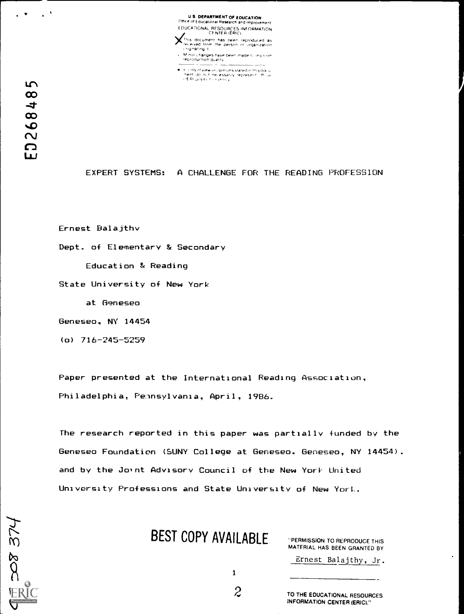U **S. DEPARTMENT OF EDUCATION**<br>Office of Educational Research and <del>Improvement</del> EDUCATIONAL RESOURCES INFORMATION

of this document has been reproduced as Yeived Irom the person or organization rg,<br>I. eiginating t<br>C. M nor changes have been made to incrinxe M not changes have been made to improve

' its of view or opinions stated in this docu

Thent do not hecessarily represent. This

208374

EXPERT SYSTEMS: A CHALLENGE FOR THE READING PROFESSION

Ernest Balajthv

Dept. of Elementary & Secondary

Education & Reading

State University of New York

at Geneseo

Geneseo, NY 14454

(o) 716-245-5259

Paper presented at the International Reading Association, Philadelphia, Peinsylvania, April, 1986.

The research reported in this paper was partially funded by the Geneseo Foundation (SUNY College at Geneseo, Geneseo, NY 14454). and by the Joint Advisory Council of the New York United University Professions and State University of New YorL.

BEST COPY AVAILABLE

"PERMISSION TO REPRODUCE THIS MATERIAL HAS BEEN GRANTED BY

Ernest Balajthy, Jr.

1

2 TO THE EDUCATIONAL RESOURCES INFORMATION CENTER (ERIC)."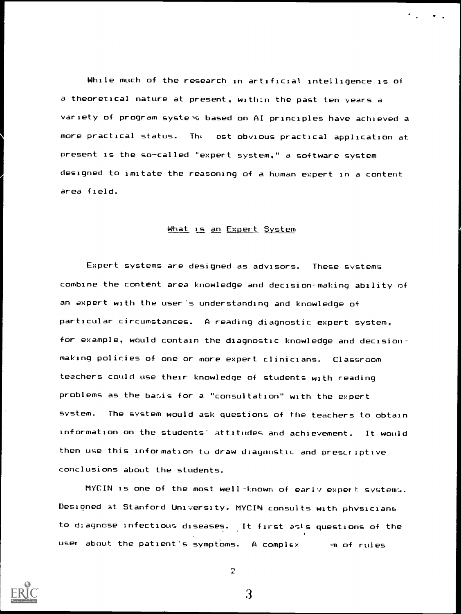While much of the research in artificial intelligence is of a theoretical nature at present, within the past ten years a variety of program systens based on AI principles have achieved a more practical status. Th; ost obvious practical application at present is the so-called "expert system," a software system designed to imitate the reasoning of a human expert in a content area field.

#### What is an Expert System

Expert systems are designed as advisors. These systems combine the content area knowledge and decision-making ability of an expert with the user's understanding and knowledge of particular circumstances. A reading diagnostic expert system, for example, would contain the diagnostic knowledge and decisionmaking policies of one or more expert clinicians. Classroom teachers could use their knowledge of students with reading problems as the basis for a "consultation" with the expert system. The system would ask questions of the teachers to obtain information on the students' attitudes and achievement. It would then use this information to draw diagnostic and presLriptive conclusions about the students.

MYCIN is one of the most well -known of early expert systems. Designed at Stanford University. MYCIN consults with physicians to diagnose infectious diseases. It first as's questions of the user about the patient's symptoms. A complex " on of rules



 $\overline{2}$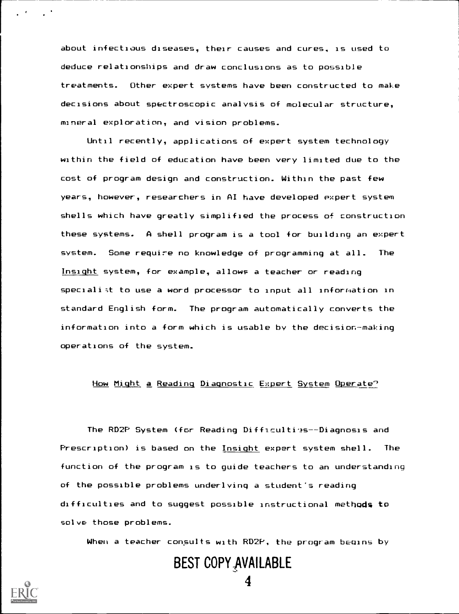about infectious diseases, their causes and cures, is used to deduce relationships and draw conclusions as to possible treatments. Other expert systems have been constructed to make decisions about spectroscopic analysis of molecular structure, mineral exploration, and vision problems.

Until recently, applications of expert system technology within the field of education have been very limited due to the cost of program design and construction. Within the past few years, however, researchers in AI have developed expert system shells which have greatly simplified the process of construction these systems. A shell program is a tool for building an expert system. Some require no knowledge of programming at all. The Insight system, for example, allows a teacher or reading speciali ;t to use a word processor to input all inforriation in standard English form. The program automatically converts the information into a form which is usable by the decision-making operations of the system.

#### How Might a Reading Diagnostic Expert System Operate?

The RD2P System (for Reading Difficulti'as--Diagnosis and Prescription) is based on the Insight expert system shell. The function of the program is to guide teachers to an understanding of the possible problems underlying a student's reading difficulties and to suggest possible instructional methods to solve those problems.

When a teacher consults with RD2P, the program begins by

## BEST COPY AVAILABLE

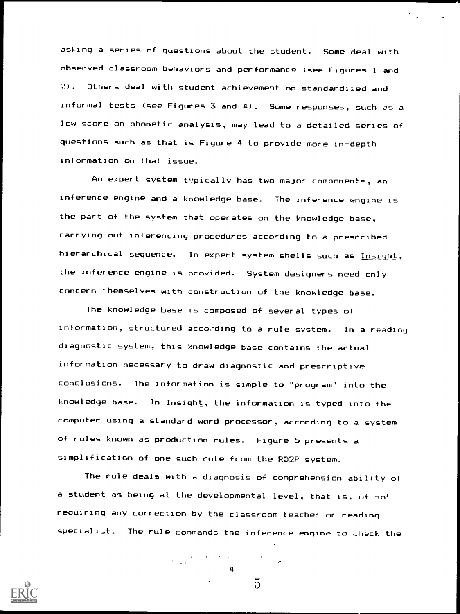asfinq a series of questions about the student. Some deal with observed classroom behaviors and performance (see Figures 1 and 2). Others deal with student achievement on standardized and informal tests (see Figures 3 and 4). Some responses, such as a low score on phonetic analysis, may lead to a detailed series of questions such as that is Figure 4 to provide more in-depth information on that issue.

 $\mathcal{L}_{\text{max}}$  and  $\mathcal{L}_{\text{max}}$ 

An expert system typically has two major components, an inference engine and a knowledge base. The inference engine is the part of the system that operates on the knowledge base, carrying out inferencing procedures according to a prescribed hierarchical sequence. In expert system shells such as Insight, the inference engine is provided. System designers need only concern themselves with construction of the knowledge base.

The knowledge base is composed of several types of information, structured according to a rule system. In a reading diagnostic system, this knowledge base contains the actual information necessary to draw diagnostic and prescriptive conclusions. The information is simple to "program" into the knowledge base. In Insight, the information is typed into the computer using a standard word processor, according to a system of rules known as production rules. Figure 5 presents a simplification of one such rule from the RD2F system.

The rule deals with a diagnosis of comprehension ability of a student as being at the developmental level, that is, of not requiring any correction by the classroom teacher or reading specialist. The rule commands the inference engine to check the



 $\overline{5}$ 

 $\mathcal{F}_{\mathrm{in}}$ 

4

 $\label{eq:2} \Psi_{\alpha\beta} = \frac{3}{2\pi} \frac{1}{2\pi} \frac{2\pi}{\alpha^2} \left[ \frac{2\pi}{\alpha^2} \frac{1}{\alpha^2} \right] \frac{1}{\alpha^2} \, .$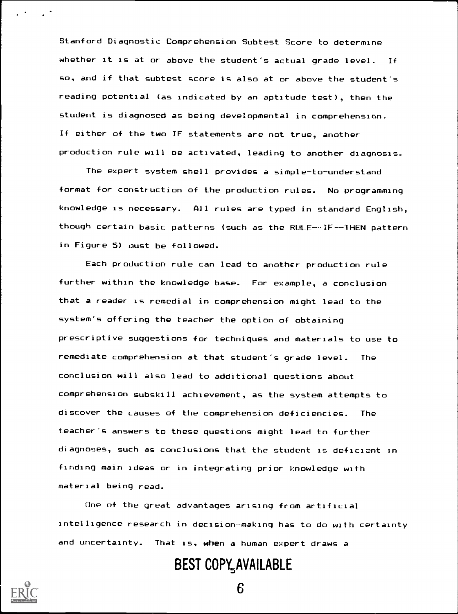Stanford Diagnostic Comprehension Subtest Score to determine whether it is at or above the student's actual grade level. If so, and if that subtest score is also at or above the student's reading potential (as indicated by an aptitude test), then the student is diagnosed as being developmental in comprehension. If either of the two IF statements are not true, another production rule will be activated, leading to another diagnosis.

The expert system shell provides a simple-to-understand format for construction of the production rules. No programming knowledge is necessary. All rules are typed in standard English, though certain basic patterns (such as the RULE--IF--THEN pattern in Figure 5) must be followed.

Each production rule can lead to another production rule further within the knowledge base. For example, a conclusion that a reader is remedial in comprehension might lead to the system's offering the teacher the option of obtaining prescriptive suggestions for techniques and materials to use to remediate comprehension at that student's grade level. The conclusion will also lead to additional questions about comprehension subskill achievement, as the system attempts to discover the causes of the comprehension deficiencies. The teacher's answers to these questions might lead to further diagnoses, such as conclusions that the student is deficient in finding main ideas or in integrating prior knowledge with material being read.

One of the great advantages arising from artificial intelligence research in decision-making has to do with certainty and uncertainty. That is, when a human expert draws a

## BEST COPY<sub>5</sub>AVAILABLE

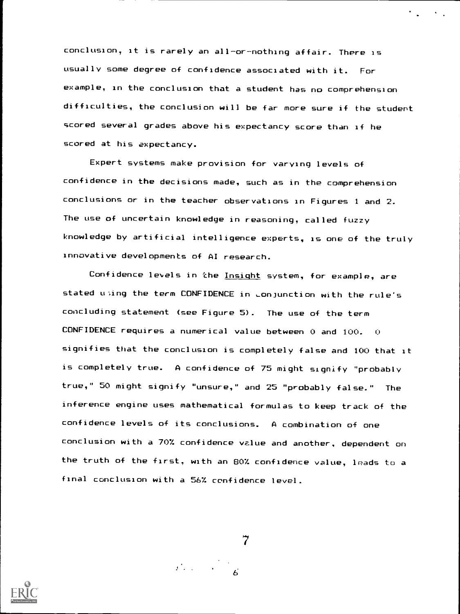conclusion, it is rarely an all-or-nothing affair. There is usually some degree of confidence associated with it. For example, in the conclusion that a student has no comprehension difficulties, the conclusion will be far more sure if the student scored several grades above his expectancy score than if he scored at his expectancy.

Expert systems make provision for varying levels of confidence in the decisions made, such as in the comprehension conclusions or in the teacher observations in Figures 1 and 2. The use of uncertain knowledge in reasoning, called fuzzy knowledge by artificial intelligence experts, is one of the truly innovative developments of AI research.

Confidence levels in the Insight system, for example, are stated using the term CONFIDENCE in conjunction with the rule's concluding statement (see Figure 5). The use of the term CONFIDENCE requires a numerical value between 0 and 100. 0 signifies that the conclusion is completely false and 100 that it is completely true. A confidence of 75 might signify "probably true," 50 might signify "unsure," and 25 "probably false." The inference engine uses mathematical formulas to keep track of the confidence levels of its conclusions. A combination of one conclusion with a 70% confidence vzlue and another, dependent on the truth of the first, with an 80% confidence value, leads to a final conclusion with a 56% confidence level.

7

 $\label{eq:2} \frac{1}{2}\sum_{i=1}^n\frac{1}{\sqrt{2\pi}}\left(\frac{1}{\sqrt{2\pi}}\right)^2\left(\frac{1}{\sqrt{2\pi}}\right)^2.$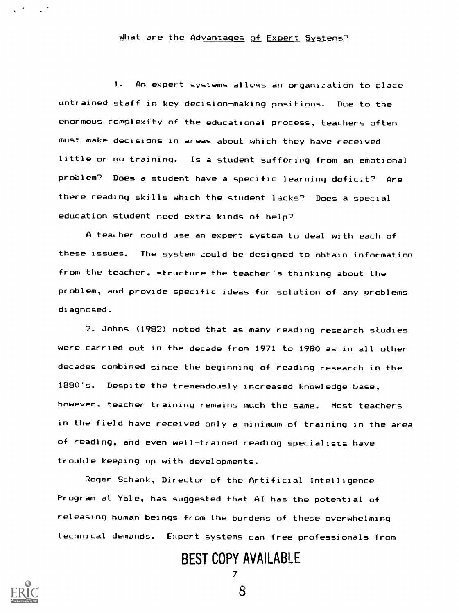### What are the Advantages of Expert Systems"

1. An expert systems allows an organization to place untrained staff in key decision-making positions. Due to the enormous complexity of the educational process, teachers often must make decisions in areas about which they have received little or no training. Is a student suffering from an emotional problem? Does a student have a specific learning deficit? Are there reading skills which the student lacks? Does a special education student need extra kinds of help?

A teather could use an expert system to deal with each of these issues. The system could be designed to obtain information from the teacher, structure the teacher's thinking about the problem, and provide specific ideas for solution of any problems diagnosed.

2. Johns (1982) noted that as many reading research studies were carried out in the decade from 1971 to 1980 as in all other decades combined since the beginning of reading research in the 1880's. Despite the tremendously increased knowledge base, however, teacher training remains much the same. Most teachers in the field have received only a minimum of training in the area of reading, and even well-trained reading specialists have trouble keeping up with developments.

Roger Schank, Director of the Artificial Intelligence Program at Yale, has suggested that AI has the potential of releasing human beings from the burdens of these overwhelming technical demands. Expert systems can free professionals from

> BEST COPY AVAILABLE 7

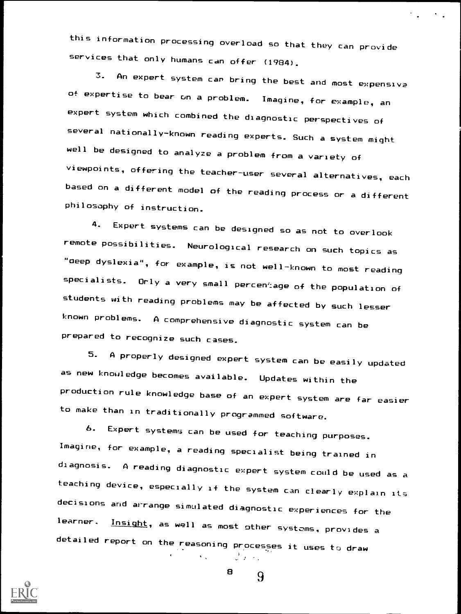this information processing overload so that they can provide services that only humans can offer (1984).

3. An expert system can bring the best and most expensive of expertise to bear on a problem. Imagine, for example, an expert system which combined the diagnostic perspectives of several nationally-known reading experts. Such a system might well be designed to analyze a problem from a variety of viewpoints, offering the teacher-user several alternatives, each based on a different model of the reading process or a different philosophy of instruction.

4. Expert systems can be designed so as not to overlook remote possibilities. Neurological research on such topics as "deep dyslexia", for example, is not well-known to most reading specialists. Orly a very small percen':age of the population of students with reading problems may be affected by such lesser known problems. A comprehensive diagnostic system can be prepared to recognize such cases.

5. A properly designed expert system can be easily updated as new knowledge becomes available. Updates within the production rule knowledge base of an expert system are far easier to make than in traditionally programmed software.

6. Expert systems can be used for teaching purposes. Imagine, for example, a reading specialist being trained in diagnosis. A reading diagnostic expert system could be used as a teaching device, especially if the system can clearly explain its decisions and arrange simulated diagnostic experiences for the<br>learner. Insight are woll is an all which Insight, as well as most other systems, provides a detailed report on the reasoning processes it uses to draw



 $\mathbf{B}$   $\mathbf{Q}$ 

 $\sqrt{2}$   $\sqrt{2}$ 

 $\mathcal{N}_{\text{max}}$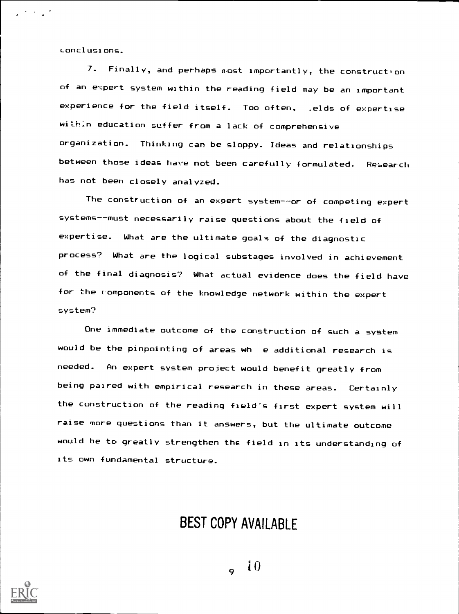conclusions.

 $\mathcal{L}^{(1)}$  and  $\mathcal{L}^{(2)}$ 

7. Finally, and perhaps n.ost importantly, the construction of an expert system within the reading field may be an important experience for the field itself. Too often, .elds of expertise within education suffer from a lack of comprehensive organization. Thinking can be sloppy. Ideas and relationships between those ideas have not been carefully formulated. Research has not been closely analyzed.

The construction of an expert system--or of competing expert systems--must necessarily raise questions about the field of expertise. What are the ultimate goals of the diagnostic process? What are the logical substages involved in achievement of the final diagnosis? What actual evidence does the field have for the components of the knowledge network within the expert system?

One immediate outcome of the construction of such a system would be the pinpointing of areas wh e additional research is needed. An expert system project would benefit greatly from being paired with empirical research in these areas. Certainly the construction of the reading field's first expert system will raise more questions than it answers, but the ultimate outcome would be to greatly strengthen the field in its understanding of its own fundamental structure.

## BEST COPY AVAILABLE

 $-10$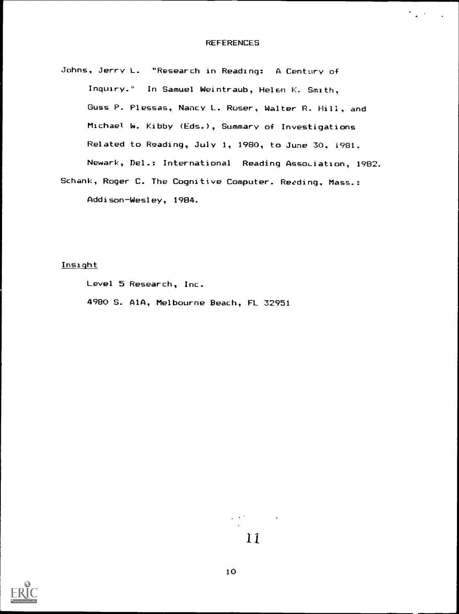$\sum_{i=1}^n \alpha_i \cdot \beta_i = \sum_{i=1}^n \alpha_i$ 

Johns, Jerry L. "Research in Reading: A Century of Inquiry." In Samuel Weintraub, Helen K. Smith, Guss P. Plessas, Nancy L. Ruser, Walter R. Hill, and Michael W. Kibby (Eds.), Summary of Investigations Related to Reading, July 1, 1980, to June 30, 1981. Newark, Del.: International Reading Association, 1982. Schank, Roger C. The Cognitive Computer. Reoding, Mass.:

Addison-Wesley, 1984.

Insight

Level 5 Research, Inc.

4980 S. AlA, Melbourne Beach, FL 32951

11

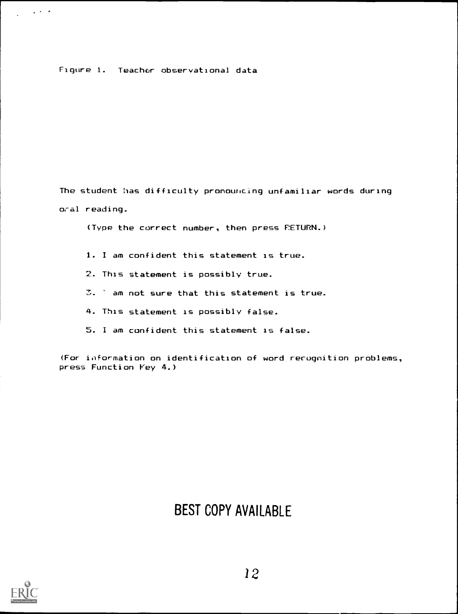#### Figure 1. Teacher observational data

The student has difficulty pronouncing unfamiliar words during oral reading.

(Type the correct number, then press RETURN.)

- 1. I am confident this statement is true.
- 2. This statement is possibly true.
- 3. ' am not sure that this statement is true.
- 4. This statement is possibly false.
- 5. I am confident this statement is false.

(For ioformation on identification of word recognition problems, press Function Vey 4.)

## BEST COPY AVAILABLE



 $\sim 10^{11}$  km s  $^{-1}$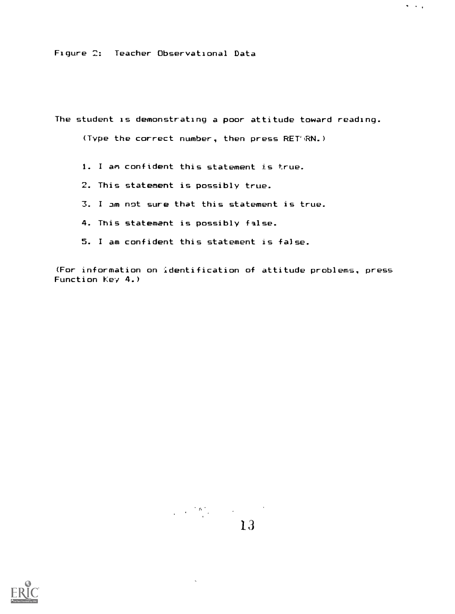Figure 2: Teacher Observational Data

The student is demonstrating a poor attitude toward reading.

 $\sigma_{\rm{max}}$ 

(Type the correct number, then press RET'RN.)

- 1. <sup>I</sup> an confident this statement is true.
- 2. This statement is possibly true.
- 3. I am not sure that this statement is true.
- 4. This statement is possibly false.
- 5. I am confident this statement is false.

(For information on identification of attitude problems, press Function Key 4.)

# $\begin{smallmatrix}13\end{smallmatrix}$